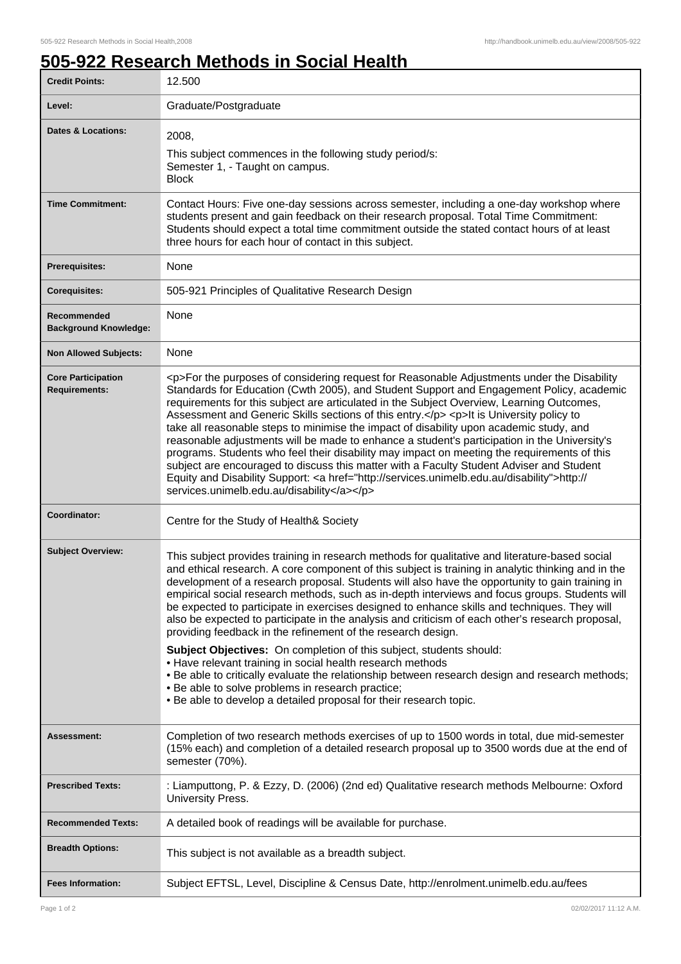1

## **505-922 Research Methods in Social Health**

| <b>Credit Points:</b>                             | 12.500                                                                                                                                                                                                                                                                                                                                                                                                                                                                                                                                                                                                                                                                                                                                                                                                                                                                                                                                                                                                                                           |
|---------------------------------------------------|--------------------------------------------------------------------------------------------------------------------------------------------------------------------------------------------------------------------------------------------------------------------------------------------------------------------------------------------------------------------------------------------------------------------------------------------------------------------------------------------------------------------------------------------------------------------------------------------------------------------------------------------------------------------------------------------------------------------------------------------------------------------------------------------------------------------------------------------------------------------------------------------------------------------------------------------------------------------------------------------------------------------------------------------------|
| Level:                                            | Graduate/Postgraduate                                                                                                                                                                                                                                                                                                                                                                                                                                                                                                                                                                                                                                                                                                                                                                                                                                                                                                                                                                                                                            |
| <b>Dates &amp; Locations:</b>                     | 2008,<br>This subject commences in the following study period/s:<br>Semester 1, - Taught on campus.<br><b>Block</b>                                                                                                                                                                                                                                                                                                                                                                                                                                                                                                                                                                                                                                                                                                                                                                                                                                                                                                                              |
| <b>Time Commitment:</b>                           | Contact Hours: Five one-day sessions across semester, including a one-day workshop where<br>students present and gain feedback on their research proposal. Total Time Commitment:<br>Students should expect a total time commitment outside the stated contact hours of at least<br>three hours for each hour of contact in this subject.                                                                                                                                                                                                                                                                                                                                                                                                                                                                                                                                                                                                                                                                                                        |
| <b>Prerequisites:</b>                             | None                                                                                                                                                                                                                                                                                                                                                                                                                                                                                                                                                                                                                                                                                                                                                                                                                                                                                                                                                                                                                                             |
| <b>Corequisites:</b>                              | 505-921 Principles of Qualitative Research Design                                                                                                                                                                                                                                                                                                                                                                                                                                                                                                                                                                                                                                                                                                                                                                                                                                                                                                                                                                                                |
| Recommended<br><b>Background Knowledge:</b>       | None                                                                                                                                                                                                                                                                                                                                                                                                                                                                                                                                                                                                                                                                                                                                                                                                                                                                                                                                                                                                                                             |
| <b>Non Allowed Subjects:</b>                      | None                                                                                                                                                                                                                                                                                                                                                                                                                                                                                                                                                                                                                                                                                                                                                                                                                                                                                                                                                                                                                                             |
| <b>Core Participation</b><br><b>Requirements:</b> | <p>For the purposes of considering request for Reasonable Adjustments under the Disability<br/>Standards for Education (Cwth 2005), and Student Support and Engagement Policy, academic<br/>requirements for this subject are articulated in the Subject Overview, Learning Outcomes,<br/>Assessment and Generic Skills sections of this entry.</p> <p>lt is University policy to<br/>take all reasonable steps to minimise the impact of disability upon academic study, and<br/>reasonable adjustments will be made to enhance a student's participation in the University's<br/>programs. Students who feel their disability may impact on meeting the requirements of this<br/>subject are encouraged to discuss this matter with a Faculty Student Adviser and Student<br/>Equity and Disability Support: &lt; a href="http://services.unimelb.edu.au/disability"&gt;http://<br/>services.unimelb.edu.au/disability</p>                                                                                                                     |
| Coordinator:                                      | Centre for the Study of Health& Society                                                                                                                                                                                                                                                                                                                                                                                                                                                                                                                                                                                                                                                                                                                                                                                                                                                                                                                                                                                                          |
| <b>Subject Overview:</b>                          | This subject provides training in research methods for qualitative and literature-based social<br>and ethical research. A core component of this subject is training in analytic thinking and in the<br>development of a research proposal. Students will also have the opportunity to gain training in<br>empirical social research methods, such as in-depth interviews and focus groups. Students will<br>be expected to participate in exercises designed to enhance skills and techniques. They will<br>also be expected to participate in the analysis and criticism of each other's research proposal,<br>providing feedback in the refinement of the research design.<br>Subject Objectives: On completion of this subject, students should:<br>• Have relevant training in social health research methods<br>. Be able to critically evaluate the relationship between research design and research methods;<br>. Be able to solve problems in research practice;<br>. Be able to develop a detailed proposal for their research topic. |
| Assessment:                                       | Completion of two research methods exercises of up to 1500 words in total, due mid-semester<br>(15% each) and completion of a detailed research proposal up to 3500 words due at the end of<br>semester (70%).                                                                                                                                                                                                                                                                                                                                                                                                                                                                                                                                                                                                                                                                                                                                                                                                                                   |
| <b>Prescribed Texts:</b>                          | : Liamputtong, P. & Ezzy, D. (2006) (2nd ed) Qualitative research methods Melbourne: Oxford<br>University Press.                                                                                                                                                                                                                                                                                                                                                                                                                                                                                                                                                                                                                                                                                                                                                                                                                                                                                                                                 |
| <b>Recommended Texts:</b>                         | A detailed book of readings will be available for purchase.                                                                                                                                                                                                                                                                                                                                                                                                                                                                                                                                                                                                                                                                                                                                                                                                                                                                                                                                                                                      |
| <b>Breadth Options:</b>                           | This subject is not available as a breadth subject.                                                                                                                                                                                                                                                                                                                                                                                                                                                                                                                                                                                                                                                                                                                                                                                                                                                                                                                                                                                              |
| <b>Fees Information:</b>                          | Subject EFTSL, Level, Discipline & Census Date, http://enrolment.unimelb.edu.au/fees                                                                                                                                                                                                                                                                                                                                                                                                                                                                                                                                                                                                                                                                                                                                                                                                                                                                                                                                                             |